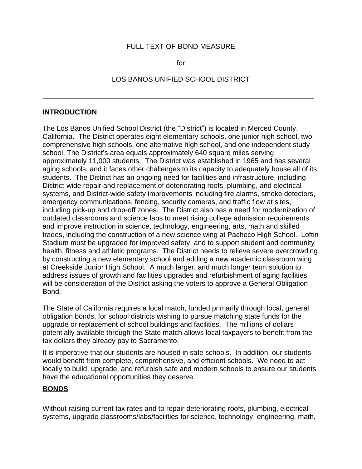#### FULL TEXT OF BOND MEASURE

for

#### LOS BANOS UNIFIED SCHOOL DISTRICT

#### **INTRODUCTION**

 $\overline{a}$ 

The Los Banos Unified School District (the "District") is located in Merced County, California. The District operates eight elementary schools, one junior high school, two comprehensive high schools, one alternative high school, and one independent study school. The District's area equals approximately 640 square miles serving approximately 11,000 students. The District was established in 1965 and has several aging schools, and it faces other challenges to its capacity to adequately house all of its students. The District has an ongoing need for facilities and infrastructure, including District-wide repair and replacement of deteriorating roofs, plumbing, and electrical systems, and District-wide safety improvements including fire alarms, smoke detectors, emergency communications, fencing, security cameras, and traffic flow at sites, including pick-up and drop-off zones. The District also has a need for modernization of outdated classrooms and science labs to meet rising college admission requirements and improve instruction in science, technology, engineering, arts, math and skilled trades, including the construction of a new science wing at Pacheco High School. Loftin Stadium must be upgraded for improved safety, and to support student and community health, fitness and athletic programs. The District needs to relieve severe overcrowding by constructing a new elementary school and adding a new academic classroom wing at Creekside Junior High School. A much larger, and much longer term solution to address issues of growth and facilities upgrades and refurbishment of aging facilities, will be consideration of the District asking the voters to approve a General Obligation Bond.

The State of California requires a local match, funded primarily through local, general obligation bonds, for school districts wishing to pursue matching state funds for the upgrade or replacement of school buildings and facilities. The millions of dollars potentially available through the State match allows local taxpayers to benefit from the tax dollars they already pay to Sacramento.

It is imperative that our students are housed in safe schools. In addition, our students would benefit from complete, comprehensive, and efficient schools. We need to act locally to build, upgrade, and refurbish safe and modern schools to ensure our students have the educational opportunities they deserve.

#### **BONDS**

Without raising current tax rates and to repair deteriorating roofs, plumbing, electrical systems, upgrade classrooms/labs/facilities for science, technology, engineering, math,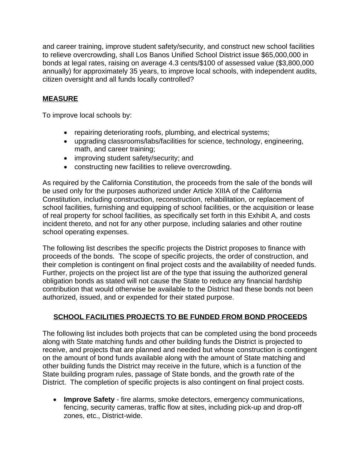and career training, improve student safety/security, and construct new school facilities to relieve overcrowding, shall Los Banos Unified School District issue \$65,000,000 in bonds at legal rates, raising on average 4.3 cents/\$100 of assessed value (\$3,800,000 annually) for approximately 35 years, to improve local schools, with independent audits, citizen oversight and all funds locally controlled?

# **MEASURE**

To improve local schools by:

- repairing deteriorating roofs, plumbing, and electrical systems;
- upgrading classrooms/labs/facilities for science, technology, engineering, math, and career training;
- improving student safety/security; and
- constructing new facilities to relieve overcrowding.

As required by the California Constitution, the proceeds from the sale of the bonds will be used only for the purposes authorized under Article XIIIA of the California Constitution, including construction, reconstruction, rehabilitation, or replacement of school facilities, furnishing and equipping of school facilities, or the acquisition or lease of real property for school facilities, as specifically set forth in this Exhibit A, and costs incident thereto, and not for any other purpose, including salaries and other routine school operating expenses.

The following list describes the specific projects the District proposes to finance with proceeds of the bonds. The scope of specific projects, the order of construction, and their completion is contingent on final project costs and the availability of needed funds. Further, projects on the project list are of the type that issuing the authorized general obligation bonds as stated will not cause the State to reduce any financial hardship contribution that would otherwise be available to the District had these bonds not been authorized, issued, and or expended for their stated purpose.

### **SCHOOL FACILITIES PROJECTS TO BE FUNDED FROM BOND PROCEEDS**

The following list includes both projects that can be completed using the bond proceeds along with State matching funds and other building funds the District is projected to receive, and projects that are planned and needed but whose construction is contingent on the amount of bond funds available along with the amount of State matching and other building funds the District may receive in the future, which is a function of the State building program rules, passage of State bonds, and the growth rate of the District. The completion of specific projects is also contingent on final project costs.

 **Improve Safety** - fire alarms, smoke detectors, emergency communications, fencing, security cameras, traffic flow at sites, including pick-up and drop-off zones, etc., District-wide.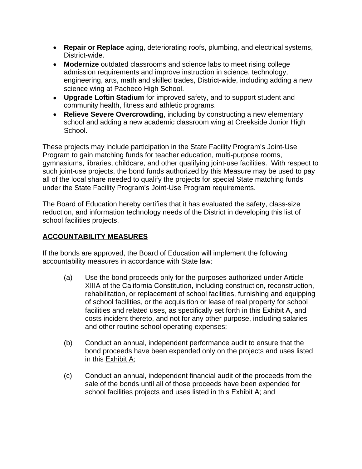- **Repair or Replace** aging, deteriorating roofs, plumbing, and electrical systems, District-wide.
- **Modernize** outdated classrooms and science labs to meet rising college admission requirements and improve instruction in science, technology, engineering, arts, math and skilled trades, District-wide, including adding a new science wing at Pacheco High School.
- **Upgrade Loftin Stadium** for improved safety, and to support student and community health, fitness and athletic programs.
- **Relieve Severe Overcrowding**, including by constructing a new elementary school and adding a new academic classroom wing at Creekside Junior High School.

These projects may include participation in the State Facility Program's Joint-Use Program to gain matching funds for teacher education, multi-purpose rooms, gymnasiums, libraries, childcare, and other qualifying joint-use facilities. With respect to such joint-use projects, the bond funds authorized by this Measure may be used to pay all of the local share needed to qualify the projects for special State matching funds under the State Facility Program's Joint-Use Program requirements.

The Board of Education hereby certifies that it has evaluated the safety, class-size reduction, and information technology needs of the District in developing this list of school facilities projects.

## **ACCOUNTABILITY MEASURES**

If the bonds are approved, the Board of Education will implement the following accountability measures in accordance with State law:

- (a) Use the bond proceeds only for the purposes authorized under Article XIIIA of the California Constitution, including construction, reconstruction, rehabilitation, or replacement of school facilities, furnishing and equipping of school facilities, or the acquisition or lease of real property for school facilities and related uses, as specifically set forth in this Exhibit A, and costs incident thereto, and not for any other purpose, including salaries and other routine school operating expenses;
- (b) Conduct an annual, independent performance audit to ensure that the bond proceeds have been expended only on the projects and uses listed in this Exhibit A;
- (c) Conduct an annual, independent financial audit of the proceeds from the sale of the bonds until all of those proceeds have been expended for school facilities projects and uses listed in this Exhibit A; and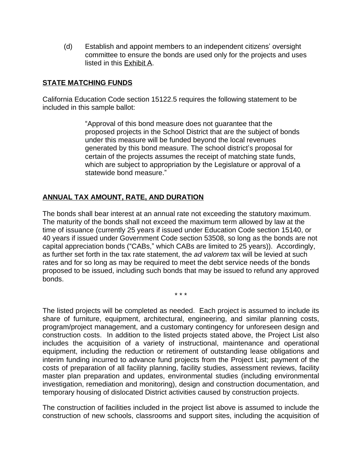(d) Establish and appoint members to an independent citizens' oversight committee to ensure the bonds are used only for the projects and uses listed in this Exhibit A.

### **STATE MATCHING FUNDS**

California Education Code section 15122.5 requires the following statement to be included in this sample ballot:

> "Approval of this bond measure does not guarantee that the proposed projects in the School District that are the subject of bonds under this measure will be funded beyond the local revenues generated by this bond measure. The school district's proposal for certain of the projects assumes the receipt of matching state funds, which are subject to appropriation by the Legislature or approval of a statewide bond measure."

#### **ANNUAL TAX AMOUNT, RATE, AND DURATION**

The bonds shall bear interest at an annual rate not exceeding the statutory maximum. The maturity of the bonds shall not exceed the maximum term allowed by law at the time of issuance (currently 25 years if issued under Education Code section 15140, or 40 years if issued under Government Code section 53508, so long as the bonds are not capital appreciation bonds ("CABs," which CABs are limited to 25 years)). Accordingly, as further set forth in the tax rate statement, the *ad valorem* tax will be levied at such rates and for so long as may be required to meet the debt service needs of the bonds proposed to be issued, including such bonds that may be issued to refund any approved bonds.

\* \* \*

The listed projects will be completed as needed. Each project is assumed to include its share of furniture, equipment, architectural, engineering, and similar planning costs, program/project management, and a customary contingency for unforeseen design and construction costs. In addition to the listed projects stated above, the Project List also includes the acquisition of a variety of instructional, maintenance and operational equipment, including the reduction or retirement of outstanding lease obligations and interim funding incurred to advance fund projects from the Project List; payment of the costs of preparation of all facility planning, facility studies, assessment reviews, facility master plan preparation and updates, environmental studies (including environmental investigation, remediation and monitoring), design and construction documentation, and temporary housing of dislocated District activities caused by construction projects.

The construction of facilities included in the project list above is assumed to include the construction of new schools, classrooms and support sites, including the acquisition of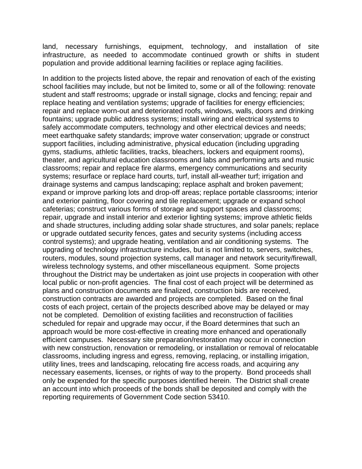land, necessary furnishings, equipment, technology, and installation of site infrastructure, as needed to accommodate continued growth or shifts in student population and provide additional learning facilities or replace aging facilities.

In addition to the projects listed above, the repair and renovation of each of the existing school facilities may include, but not be limited to, some or all of the following: renovate student and staff restrooms; upgrade or install signage, clocks and fencing; repair and replace heating and ventilation systems; upgrade of facilities for energy efficiencies; repair and replace worn-out and deteriorated roofs, windows, walls, doors and drinking fountains; upgrade public address systems; install wiring and electrical systems to safely accommodate computers, technology and other electrical devices and needs; meet earthquake safety standards; improve water conservation; upgrade or construct support facilities, including administrative, physical education (including upgrading gyms, stadiums, athletic facilities, tracks, bleachers, lockers and equipment rooms), theater, and agricultural education classrooms and labs and performing arts and music classrooms; repair and replace fire alarms, emergency communications and security systems; resurface or replace hard courts, turf, install all-weather turf; irrigation and drainage systems and campus landscaping; replace asphalt and broken pavement; expand or improve parking lots and drop-off areas; replace portable classrooms; interior and exterior painting, floor covering and tile replacement; upgrade or expand school cafeterias; construct various forms of storage and support spaces and classrooms; repair, upgrade and install interior and exterior lighting systems; improve athletic fields and shade structures, including adding solar shade structures, and solar panels; replace or upgrade outdated security fences, gates and security systems (including access control systems); and upgrade heating, ventilation and air conditioning systems. The upgrading of technology infrastructure includes, but is not limited to, servers, switches, routers, modules, sound projection systems, call manager and network security/firewall, wireless technology systems, and other miscellaneous equipment. Some projects throughout the District may be undertaken as joint use projects in cooperation with other local public or non-profit agencies. The final cost of each project will be determined as plans and construction documents are finalized, construction bids are received, construction contracts are awarded and projects are completed. Based on the final costs of each project, certain of the projects described above may be delayed or may not be completed. Demolition of existing facilities and reconstruction of facilities scheduled for repair and upgrade may occur, if the Board determines that such an approach would be more cost-effective in creating more enhanced and operationally efficient campuses. Necessary site preparation/restoration may occur in connection with new construction, renovation or remodeling, or installation or removal of relocatable classrooms, including ingress and egress, removing, replacing, or installing irrigation, utility lines, trees and landscaping, relocating fire access roads, and acquiring any necessary easements, licenses, or rights of way to the property. Bond proceeds shall only be expended for the specific purposes identified herein. The District shall create an account into which proceeds of the bonds shall be deposited and comply with the reporting requirements of Government Code section 53410.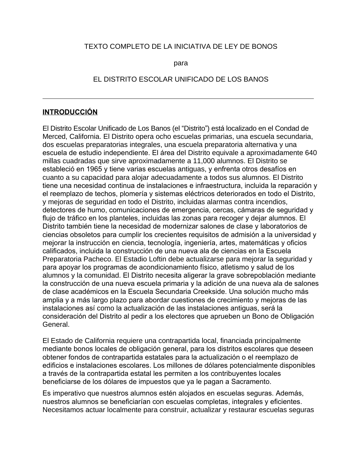### TEXTO COMPLETO DE LA INICIATIVA DE LEY DE BONOS

para

#### EL DISTRITO ESCOLAR UNIFICADO DE LOS BANOS

#### **INTRODUCCIÓN**

 $\overline{a}$ 

El Distrito Escolar Unificado de Los Banos (el "Distrito") está localizado en el Condad de Merced, California. El Distrito opera ocho escuelas primarias, una escuela secundaria, dos escuelas preparatorias integrales, una escuela preparatoria alternativa y una escuela de estudio independiente. El área del Distrito equivale a aproximadamente 640 millas cuadradas que sirve aproximadamente a 11,000 alumnos. El Distrito se estableció en 1965 y tiene varias escuelas antiguas, y enfrenta otros desafíos en cuanto a su capacidad para alojar adecuadamente a todos sus alumnos. El Distrito tiene una necesidad continua de instalaciones e infraestructura, incluida la reparación y el reemplazo de techos, plomería y sistemas eléctricos deteriorados en todo el Distrito, y mejoras de seguridad en todo el Distrito, incluidas alarmas contra incendios, detectores de humo, comunicaciones de emergencia, cercas, cámaras de seguridad y flujo de tráfico en los planteles, incluidas las zonas para recoger y dejar alumnos. El Distrito también tiene la necesidad de modernizar salones de clase y laboratorios de ciencias obsoletos para cumplir los crecientes requisitos de admisión a la universidad y mejorar la instrucción en ciencia, tecnología, ingeniería, artes, matemáticas y oficios calificados, incluida la construcción de una nueva ala de ciencias en la Escuela Preparatoria Pacheco. El Estadio Loftin debe actualizarse para mejorar la seguridad y para apoyar los programas de acondicionamiento físico, atletismo y salud de los alumnos y la comunidad. El Distrito necesita aligerar la grave sobrepoblación mediante la construcción de una nueva escuela primaria y la adición de una nueva ala de salones de clase académicos en la Escuela Secundaria Creekside. Una solución mucho más amplia y a más largo plazo para abordar cuestiones de crecimiento y mejoras de las instalaciones así como la actualización de las instalaciones antiguas, será la consideración del Distrito al pedir a los electores que aprueben un Bono de Obligación General.

El Estado de California requiere una contrapartida local, financiada principalmente mediante bonos locales de obligación general, para los distritos escolares que deseen obtener fondos de contrapartida estatales para la actualización o el reemplazo de edificios e instalaciones escolares. Los millones de dólares potencialmente disponibles a través de la contrapartida estatal les permiten a los contribuyentes locales beneficiarse de los dólares de impuestos que ya le pagan a Sacramento.

Es imperativo que nuestros alumnos estén alojados en escuelas seguras. Además, nuestros alumnos se beneficiarían con escuelas completas, integrales y eficientes. Necesitamos actuar localmente para construir, actualizar y restaurar escuelas seguras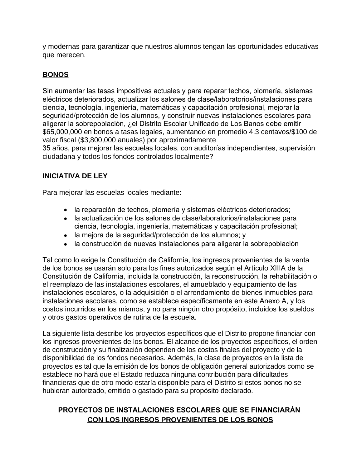y modernas para garantizar que nuestros alumnos tengan las oportunidades educativas que merecen.

### **BONOS**

Sin aumentar las tasas impositivas actuales y para reparar techos, plomería, sistemas eléctricos deteriorados, actualizar los salones de clase/laboratorios/instalaciones para ciencia, tecnología, ingeniería, matemáticas y capacitación profesional, mejorar la seguridad/protección de los alumnos, y construir nuevas instalaciones escolares para aligerar la sobrepoblación, ¿el Distrito Escolar Unificado de Los Banos debe emitir \$65,000,000 en bonos a tasas legales, aumentando en promedio 4.3 centavos/\$100 de valor fiscal (\$3,800,000 anuales) por aproximadamente

35 años, para mejorar las escuelas locales, con auditorías independientes, supervisión ciudadana y todos los fondos controlados localmente?

### **INICIATIVA DE LEY**

Para mejorar las escuelas locales mediante:

- la reparación de techos, plomería y sistemas eléctricos deteriorados;
- la actualización de los salones de clase/laboratorios/instalaciones para ciencia, tecnología, ingeniería, matemáticas y capacitación profesional;
- la mejora de la seguridad/protección de los alumnos; y
- la construcción de nuevas instalaciones para aligerar la sobrepoblación

Tal como lo exige la Constitución de California, los ingresos provenientes de la venta de los bonos se usarán solo para los fines autorizados según el Artículo XIIIA de la Constitución de California, incluida la construcción, la reconstrucción, la rehabilitación o el reemplazo de las instalaciones escolares, el amueblado y equipamiento de las instalaciones escolares, o la adquisición o el arrendamiento de bienes inmuebles para instalaciones escolares, como se establece específicamente en este Anexo A, y los costos incurridos en los mismos, y no para ningún otro propósito, incluidos los sueldos y otros gastos operativos de rutina de la escuela.

La siguiente lista describe los proyectos específicos que el Distrito propone financiar con los ingresos provenientes de los bonos. El alcance de los proyectos específicos, el orden de construcción y su finalización dependen de los costos finales del proyecto y de la disponibilidad de los fondos necesarios. Además, la clase de proyectos en la lista de proyectos es tal que la emisión de los bonos de obligación general autorizados como se establece no hará que el Estado reduzca ninguna contribución para dificultades financieras que de otro modo estaría disponible para el Distrito si estos bonos no se hubieran autorizado, emitido o gastado para su propósito declarado.

# **PROYECTOS DE INSTALACIONES ESCOLARES QUE SE FINANCIARÁN CON LOS INGRESOS PROVENIENTES DE LOS BONOS**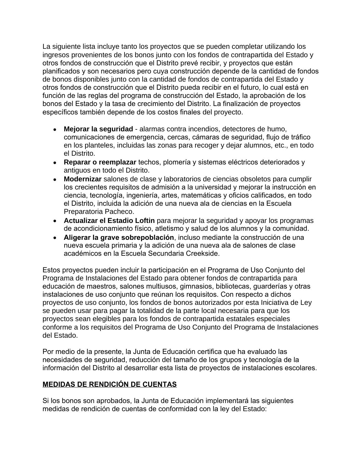La siguiente lista incluye tanto los proyectos que se pueden completar utilizando los ingresos provenientes de los bonos junto con los fondos de contrapartida del Estado y otros fondos de construcción que el Distrito prevé recibir, y proyectos que están planificados y son necesarios pero cuya construcción depende de la cantidad de fondos de bonos disponibles junto con la cantidad de fondos de contrapartida del Estado y otros fondos de construcción que el Distrito pueda recibir en el futuro, lo cual está en función de las reglas del programa de construcción del Estado, la aprobación de los bonos del Estado y la tasa de crecimiento del Distrito. La finalización de proyectos específicos también depende de los costos finales del proyecto.

- **Mejorar la seguridad** alarmas contra incendios, detectores de humo, comunicaciones de emergencia, cercas, cámaras de seguridad, flujo de tráfico en los planteles, incluidas las zonas para recoger y dejar alumnos, etc., en todo el Distrito.
- **Reparar o reemplazar** techos, plomería y sistemas eléctricos deteriorados y antiguos en todo el Distrito.
- **Modernizar** salones de clase y laboratorios de ciencias obsoletos para cumplir los crecientes requisitos de admisión a la universidad y mejorar la instrucción en ciencia, tecnología, ingeniería, artes, matemáticas y oficios calificados, en todo el Distrito, incluida la adición de una nueva ala de ciencias en la Escuela Preparatoria Pacheco.
- **Actualizar el Estadio Loftin** para mejorar la seguridad y apoyar los programas de acondicionamiento físico, atletismo y salud de los alumnos y la comunidad.
- **Aligerar la grave sobrepoblación**, incluso mediante la construcción de una nueva escuela primaria y la adición de una nueva ala de salones de clase académicos en la Escuela Secundaria Creekside.

Estos proyectos pueden incluir la participación en el Programa de Uso Conjunto del Programa de Instalaciones del Estado para obtener fondos de contrapartida para educación de maestros, salones multiusos, gimnasios, bibliotecas, guarderías y otras instalaciones de uso conjunto que reúnan los requisitos. Con respecto a dichos proyectos de uso conjunto, los fondos de bonos autorizados por esta Iniciativa de Ley se pueden usar para pagar la totalidad de la parte local necesaria para que los proyectos sean elegibles para los fondos de contrapartida estatales especiales conforme a los requisitos del Programa de Uso Conjunto del Programa de Instalaciones del Estado.

Por medio de la presente, la Junta de Educación certifica que ha evaluado las necesidades de seguridad, reducción del tamaño de los grupos y tecnología de la información del Distrito al desarrollar esta lista de proyectos de instalaciones escolares.

### **MEDIDAS DE RENDICIÓN DE CUENTAS**

Si los bonos son aprobados, la Junta de Educación implementará las siguientes medidas de rendición de cuentas de conformidad con la ley del Estado: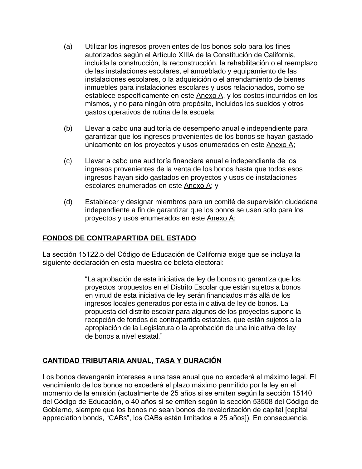- (a) Utilizar los ingresos provenientes de los bonos solo para los fines autorizados según el Artículo XIIIA de la Constitución de California, incluida la construcción, la reconstrucción, la rehabilitación o el reemplazo de las instalaciones escolares, el amueblado y equipamiento de las instalaciones escolares, o la adquisición o el arrendamiento de bienes inmuebles para instalaciones escolares y usos relacionados, como se establece específicamente en este Anexo A, y los costos incurridos en los mismos, y no para ningún otro propósito, incluidos los sueldos y otros gastos operativos de rutina de la escuela;
- (b) Llevar a cabo una auditoría de desempeño anual e independiente para garantizar que los ingresos provenientes de los bonos se hayan gastado únicamente en los proyectos y usos enumerados en este Anexo A;
- (c) Llevar a cabo una auditoría financiera anual e independiente de los ingresos provenientes de la venta de los bonos hasta que todos esos ingresos hayan sido gastados en proyectos y usos de instalaciones escolares enumerados en este Anexo A; y
- (d) Establecer y designar miembros para un comité de supervisión ciudadana independiente a fin de garantizar que los bonos se usen solo para los proyectos y usos enumerados en este Anexo A;

### **FONDOS DE CONTRAPARTIDA DEL ESTADO**

La sección 15122.5 del Código de Educación de California exige que se incluya la siguiente declaración en esta muestra de boleta electoral:

> "La aprobación de esta iniciativa de ley de bonos no garantiza que los proyectos propuestos en el Distrito Escolar que están sujetos a bonos en virtud de esta iniciativa de ley serán financiados más allá de los ingresos locales generados por esta iniciativa de ley de bonos. La propuesta del distrito escolar para algunos de los proyectos supone la recepción de fondos de contrapartida estatales, que están sujetos a la apropiación de la Legislatura o la aprobación de una iniciativa de ley de bonos a nivel estatal."

### **CANTIDAD TRIBUTARIA ANUAL, TASA Y DURACIÓN**

Los bonos devengarán intereses a una tasa anual que no excederá el máximo legal. El vencimiento de los bonos no excederá el plazo máximo permitido por la ley en el momento de la emisión (actualmente de 25 años si se emiten según la sección 15140 del Código de Educación, o 40 años si se emiten según la sección 53508 del Código de Gobierno, siempre que los bonos no sean bonos de revalorización de capital [capital appreciation bonds, "CABs", los CABs están limitados a 25 años]). En consecuencia,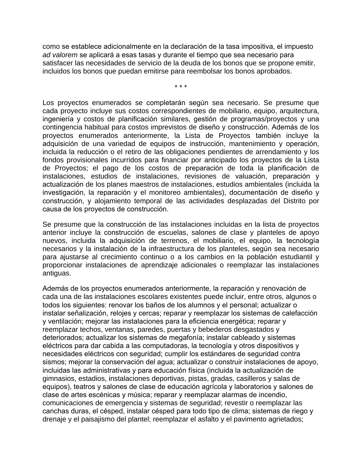como se establece adicionalmente en la declaración de la tasa impositiva, el impuesto *ad valorem* se aplicará a esas tasas y durante el tiempo que sea necesario para satisfacer las necesidades de servicio de la deuda de los bonos que se propone emitir, incluidos los bonos que puedan emitirse para reembolsar los bonos aprobados.

\* \* \*

Los proyectos enumerados se completarán según sea necesario. Se presume que cada proyecto incluye sus costos correspondientes de mobiliario, equipo, arquitectura, ingeniería y costos de planificación similares, gestión de programas/proyectos y una contingencia habitual para costos imprevistos de diseño y construcción. Además de los proyectos enumerados anteriormente, la Lista de Proyectos también incluye la adquisición de una variedad de equipos de instrucción, mantenimiento y operación, incluida la reducción o el retiro de las obligaciones pendientes de arrendamiento y los fondos provisionales incurridos para financiar por anticipado los proyectos de la Lista de Proyectos; el pago de los costos de preparación de toda la planificación de instalaciones, estudios de instalaciones, revisiones de valuación, preparación y actualización de los planes maestros de instalaciones, estudios ambientales (incluida la investigación, la reparación y el monitoreo ambientales), documentación de diseño y construcción, y alojamiento temporal de las actividades desplazadas del Distrito por causa de los proyectos de construcción.

Se presume que la construcción de las instalaciones incluidas en la lista de proyectos anterior incluye la construcción de escuelas, salones de clase y planteles de apoyo nuevos, incluida la adquisición de terrenos, el mobiliario, el equipo, la tecnología necesarios y la instalación de la infraestructura de los planteles, según sea necesario para ajustarse al crecimiento continuo o a los cambios en la población estudiantil y proporcionar instalaciones de aprendizaje adicionales o reemplazar las instalaciones antiguas.

Además de los proyectos enumerados anteriormente, la reparación y renovación de cada una de las instalaciones escolares existentes puede incluir, entre otros, algunos o todos los siguientes: renovar los baños de los alumnos y el personal; actualizar o instalar señalización, relojes y cercas; reparar y reemplazar los sistemas de calefacción y ventilación; mejorar las instalaciones para la eficiencia energética; reparar y reemplazar techos, ventanas, paredes, puertas y bebederos desgastados y deteriorados; actualizar los sistemas de megafonía; instalar cableado y sistemas eléctricos para dar cabida a las computadoras, la tecnología y otros dispositivos y necesidades eléctricos con seguridad; cumplir los estándares de seguridad contra sismos; mejorar la conservación del agua; actualizar o construir instalaciones de apoyo, incluidas las administrativas y para educación física (incluida la actualización de gimnasios, estadios, instalaciones deportivas, pistas, gradas, casilleros y salas de equipos), teatros y salones de clase de educación agrícola y laboratorios y salones de clase de artes escénicas y música; reparar y reemplazar alarmas de incendio, comunicaciones de emergencia y sistemas de seguridad; revestir o reemplazar las canchas duras, el césped, instalar césped para todo tipo de clima; sistemas de riego y drenaje y el paisajismo del plantel; reemplazar el asfalto y el pavimento agrietados;